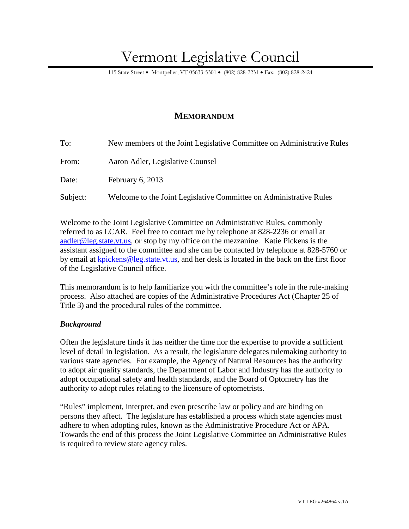# Vermont Legislative Council

115 State Street • Montpelier, VT 05633-5301 • (802) 828-2231 • Fax: (802) 828-2424

# **MEMORANDUM**

| To:      | New members of the Joint Legislative Committee on Administrative Rules |
|----------|------------------------------------------------------------------------|
| From:    | Aaron Adler, Legislative Counsel                                       |
| Date:    | February $6, 2013$                                                     |
| Subject: | Welcome to the Joint Legislative Committee on Administrative Rules     |

Welcome to the Joint Legislative Committee on Administrative Rules, commonly referred to as LCAR. Feel free to contact me by telephone at 828-2236 or email at aadler@leg.state.vt.us, or stop by my office on the mezzanine. Katie Pickens is the assistant assigned to the committee and she can be contacted by telephone at 828-5760 or by email at kpickens@leg.state.vt.us, and her desk is located in the back on the first floor of the Legislative Council office.

This memorandum is to help familiarize you with the committee's role in the rule-making process. Also attached are copies of the Administrative Procedures Act (Chapter 25 of Title 3) and the procedural rules of the committee.

# *Background*

Often the legislature finds it has neither the time nor the expertise to provide a sufficient level of detail in legislation. As a result, the legislature delegates rulemaking authority to various state agencies. For example, the Agency of Natural Resources has the authority to adopt air quality standards, the Department of Labor and Industry has the authority to adopt occupational safety and health standards, and the Board of Optometry has the authority to adopt rules relating to the licensure of optometrists.

"Rules" implement, interpret, and even prescribe law or policy and are binding on persons they affect. The legislature has established a process which state agencies must adhere to when adopting rules, known as the Administrative Procedure Act or APA. Towards the end of this process the Joint Legislative Committee on Administrative Rules is required to review state agency rules.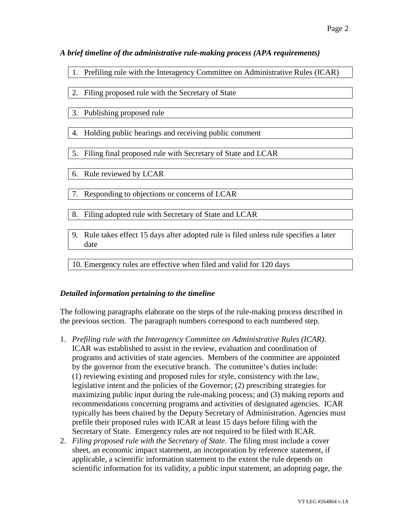#### *A brief timeline of the administrative rule-making process (APA requirements)*

- 1. Prefiling rule with the Interagency Committee on Administrative Rules (ICAR)
- 2. Filing proposed rule with the Secretary of State
- 3. Publishing proposed rule
- 4. Holding public hearings and receiving public comment
- 5. Filing final proposed rule with Secretary of State and LCAR
- 6. Rule reviewed by LCAR
- 7. Responding to objections or concerns of LCAR
- 8. Filing adopted rule with Secretary of State and LCAR
- 9. Rule takes effect 15 days after adopted rule is filed unless rule specifies a later date

10. Emergency rules are effective when filed and valid for 120 days

# *Detailed information pertaining to the timeline*

The following paragraphs elaborate on the steps of the rule-making process described in the previous section. The paragraph numbers correspond to each numbered step.

- 1. *Prefiling rule with the Interagency Committee on Administrative Rules (ICAR)*. ICAR was established to assist in the review, evaluation and coordination of programs and activities of state agencies. Members of the committee are appointed by the governor from the executive branch. The committee's duties include: (1) reviewing existing and proposed rules for style, consistency with the law, legislative intent and the policies of the Governor; (2) prescribing strategies for maximizing public input during the rule-making process; and (3) making reports and recommendations concerning programs and activities of designated agencies. ICAR typically has been chaired by the Deputy Secretary of Administration. Agencies must prefile their proposed rules with ICAR at least 15 days before filing with the Secretary of State. Emergency rules are not required to be filed with ICAR.
- 2. *Filing proposed rule with the Secretary of State.* The filing must include a cover sheet, an economic impact statement, an incorporation by reference statement, if applicable, a scientific information statement to the extent the rule depends on scientific information for its validity, a public input statement, an adopting page, the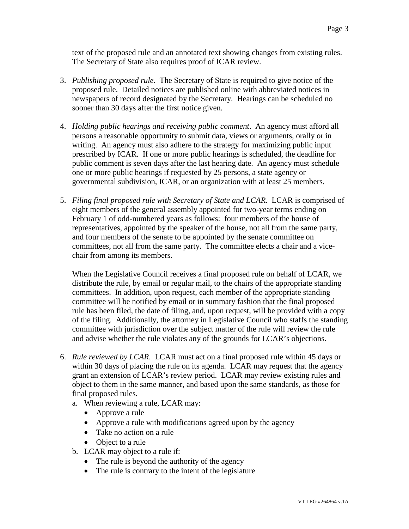text of the proposed rule and an annotated text showing changes from existing rules. The Secretary of State also requires proof of ICAR review.

- 3. *Publishing proposed rule*. The Secretary of State is required to give notice of the proposed rule. Detailed notices are published online with abbreviated notices in newspapers of record designated by the Secretary. Hearings can be scheduled no sooner than 30 days after the first notice given.
- 4. *Holding public hearings and receiving public comment*. An agency must afford all persons a reasonable opportunity to submit data, views or arguments, orally or in writing. An agency must also adhere to the strategy for maximizing public input prescribed by ICAR. If one or more public hearings is scheduled, the deadline for public comment is seven days after the last hearing date. An agency must schedule one or more public hearings if requested by 25 persons, a state agency or governmental subdivision, ICAR, or an organization with at least 25 members.
- 5. *Filing final proposed rule with Secretary of State and LCAR*. LCAR is comprised of eight members of the general assembly appointed for two-year terms ending on February 1 of odd-numbered years as follows: four members of the house of representatives, appointed by the speaker of the house, not all from the same party, and four members of the senate to be appointed by the senate committee on committees, not all from the same party. The committee elects a chair and a vicechair from among its members.

When the Legislative Council receives a final proposed rule on behalf of LCAR, we distribute the rule, by email or regular mail, to the chairs of the appropriate standing committees. In addition, upon request, each member of the appropriate standing committee will be notified by email or in summary fashion that the final proposed rule has been filed, the date of filing, and, upon request, will be provided with a copy of the filing. Additionally, the attorney in Legislative Council who staffs the standing committee with jurisdiction over the subject matter of the rule will review the rule and advise whether the rule violates any of the grounds for LCAR's objections.

- 6. *Rule reviewed by LCAR*. LCAR must act on a final proposed rule within 45 days or within 30 days of placing the rule on its agenda. LCAR may request that the agency grant an extension of LCAR's review period. LCAR may review existing rules and object to them in the same manner, and based upon the same standards, as those for final proposed rules.
	- a. When reviewing a rule, LCAR may:
		- Approve a rule
		- Approve a rule with modifications agreed upon by the agency
		- Take no action on a rule
		- Object to a rule
	- b. LCAR may object to a rule if:
		- The rule is beyond the authority of the agency
		- The rule is contrary to the intent of the legislature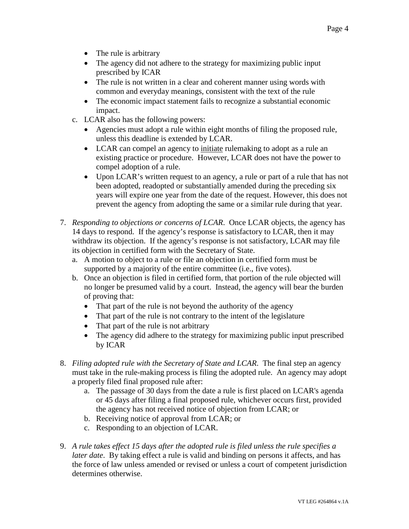- The rule is arbitrary
- The agency did not adhere to the strategy for maximizing public input prescribed by ICAR
- The rule is not written in a clear and coherent manner using words with common and everyday meanings, consistent with the text of the rule
- The economic impact statement fails to recognize a substantial economic impact.
- c. LCAR also has the following powers:
	- Agencies must adopt a rule within eight months of filing the proposed rule, unless this deadline is extended by LCAR.
	- LCAR can compel an agency to initiate rulemaking to adopt as a rule an existing practice or procedure. However, LCAR does not have the power to compel adoption of a rule.
	- Upon LCAR's written request to an agency, a rule or part of a rule that has not been adopted, readopted or substantially amended during the preceding six years will expire one year from the date of the request. However, this does not prevent the agency from adopting the same or a similar rule during that year.
- 7. *Responding to objections or concerns of LCAR*. Once LCAR objects, the agency has 14 days to respond. If the agency's response is satisfactory to LCAR, then it may withdraw its objection. If the agency's response is not satisfactory, LCAR may file its objection in certified form with the Secretary of State.
	- a. A motion to object to a rule or file an objection in certified form must be supported by a majority of the entire committee (i.e., five votes).
	- b. Once an objection is filed in certified form, that portion of the rule objected will no longer be presumed valid by a court. Instead, the agency will bear the burden of proving that:
		- That part of the rule is not beyond the authority of the agency
		- That part of the rule is not contrary to the intent of the legislature
		- That part of the rule is not arbitrary
		- The agency did adhere to the strategy for maximizing public input prescribed by ICAR
- 8. *Filing adopted rule with the Secretary of State and LCAR*. The final step an agency must take in the rule-making process is filing the adopted rule. An agency may adopt a properly filed final proposed rule after:
	- a. The passage of 30 days from the date a rule is first placed on LCAR's agenda or 45 days after filing a final proposed rule, whichever occurs first, provided the agency has not received notice of objection from LCAR; or
	- b. Receiving notice of approval from LCAR; or
	- c. Responding to an objection of LCAR.
- 9. *A rule takes effect 15 days after the adopted rule is filed unless the rule specifies a later date*. By taking effect a rule is valid and binding on persons it affects, and has the force of law unless amended or revised or unless a court of competent jurisdiction determines otherwise.